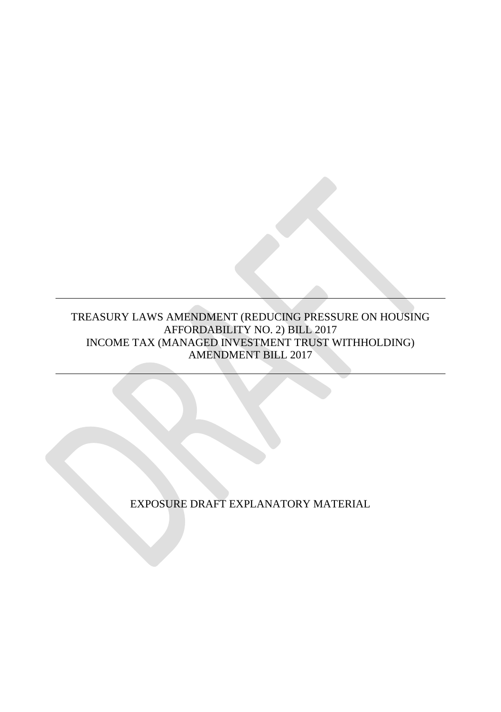### TREASURY LAWS AMENDMENT (REDUCING PRESSURE ON HOUSING AFFORDABILITY NO. 2) BILL 2017 INCOME TAX (MANAGED INVESTMENT TRUST WITHHOLDING) AMENDMENT BILL 2017

EXPOSURE DRAFT EXPLANATORY MATERIAL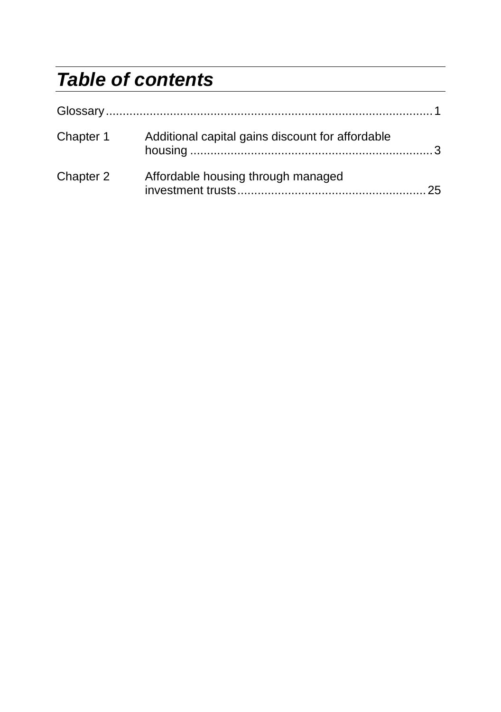# *Table of contents*

| Chapter 1 | Additional capital gains discount for affordable |  |
|-----------|--------------------------------------------------|--|
| Chapter 2 | Affordable housing through managed               |  |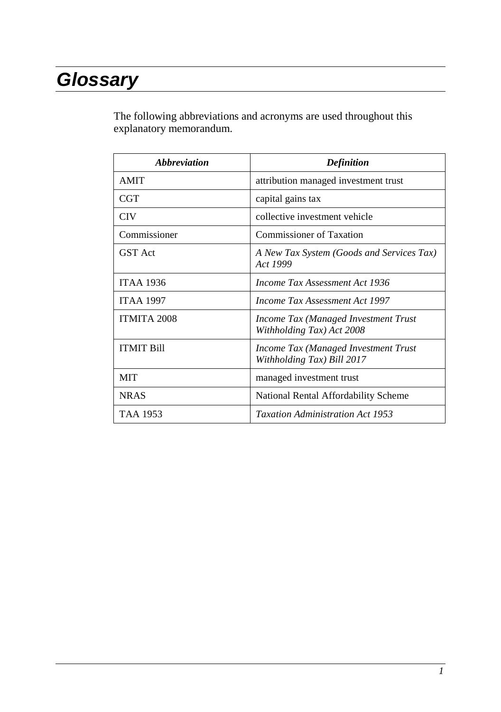# *Glossary*

The following abbreviations and acronyms are used throughout this explanatory memorandum.

| <i><b>Abbreviation</b></i> | <b>Definition</b>                                                  |
|----------------------------|--------------------------------------------------------------------|
| <b>AMIT</b>                | attribution managed investment trust                               |
| CGT                        | capital gains tax                                                  |
| <b>CIV</b>                 | collective investment vehicle                                      |
| Commissioner               | <b>Commissioner of Taxation</b>                                    |
| <b>GST</b> Act             | A New Tax System (Goods and Services Tax)<br>Act 1999              |
| <b>ITAA 1936</b>           | Income Tax Assessment Act 1936                                     |
| <b>ITAA 1997</b>           | Income Tax Assessment Act 1997                                     |
| <b>ITMITA 2008</b>         | Income Tax (Managed Investment Trust<br>Withholding Tax) Act 2008  |
| <b>ITMIT Bill</b>          | Income Tax (Managed Investment Trust<br>Withholding Tax) Bill 2017 |
| MIT                        | managed investment trust                                           |
| <b>NRAS</b>                | National Rental Affordability Scheme                               |
| TAA 1953                   | <b>Taxation Administration Act 1953</b>                            |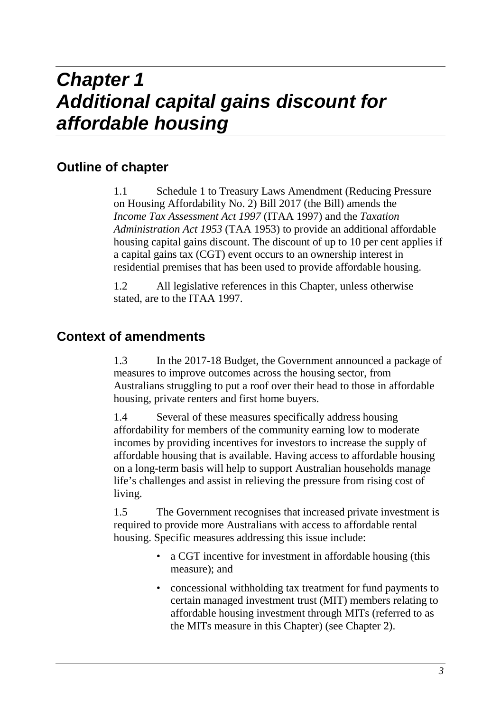# **Outline of chapter**

1.1 Schedule 1 to Treasury Laws Amendment (Reducing Pressure on Housing Affordability No. 2) Bill 2017 (the Bill) amends the *Income Tax Assessment Act 1997* (ITAA 1997) and the *Taxation Administration Act 1953* (TAA 1953) to provide an additional affordable housing capital gains discount. The discount of up to 10 per cent applies if a capital gains tax (CGT) event occurs to an ownership interest in residential premises that has been used to provide affordable housing.

1.2 All legislative references in this Chapter, unless otherwise stated, are to the ITAA 1997.

# **Context of amendments**

1.3 In the 2017-18 Budget, the Government announced a package of measures to improve outcomes across the housing sector, from Australians struggling to put a roof over their head to those in affordable housing, private renters and first home buyers.

1.4 Several of these measures specifically address housing affordability for members of the community earning low to moderate incomes by providing incentives for investors to increase the supply of affordable housing that is available. Having access to affordable housing on a long-term basis will help to support Australian households manage life's challenges and assist in relieving the pressure from rising cost of living.

1.5 The Government recognises that increased private investment is required to provide more Australians with access to affordable rental housing. Specific measures addressing this issue include:

- a CGT incentive for investment in affordable housing (this measure); and
- concessional withholding tax treatment for fund payments to certain managed investment trust (MIT) members relating to affordable housing investment through MITs (referred to as the MITs measure in this Chapter) (see Chapter 2).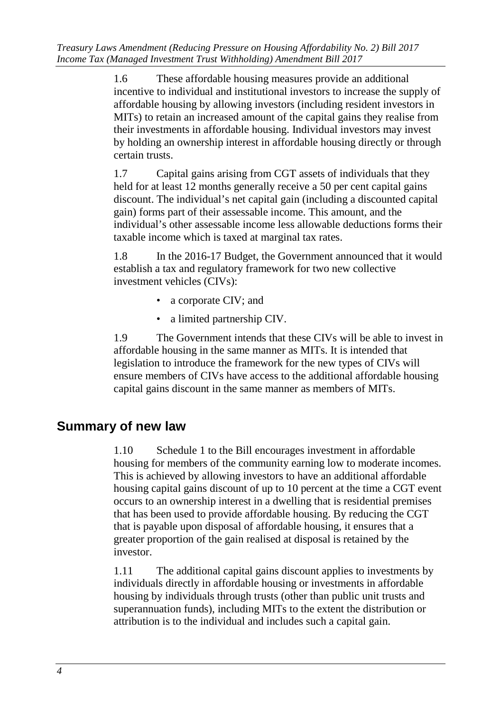1.6 These affordable housing measures provide an additional incentive to individual and institutional investors to increase the supply of affordable housing by allowing investors (including resident investors in MITs) to retain an increased amount of the capital gains they realise from their investments in affordable housing. Individual investors may invest by holding an ownership interest in affordable housing directly or through certain trusts.

1.7 Capital gains arising from CGT assets of individuals that they held for at least 12 months generally receive a 50 per cent capital gains discount. The individual's net capital gain (including a discounted capital gain) forms part of their assessable income. This amount, and the individual's other assessable income less allowable deductions forms their taxable income which is taxed at marginal tax rates.

1.8 In the 2016-17 Budget, the Government announced that it would establish a tax and regulatory framework for two new collective investment vehicles (CIVs):

- a corporate CIV; and
- a limited partnership CIV.

1.9 The Government intends that these CIVs will be able to invest in affordable housing in the same manner as MITs. It is intended that legislation to introduce the framework for the new types of CIVs will ensure members of CIVs have access to the additional affordable housing capital gains discount in the same manner as members of MITs.

# **Summary of new law**

1.10 Schedule 1 to the Bill encourages investment in affordable housing for members of the community earning low to moderate incomes. This is achieved by allowing investors to have an additional affordable housing capital gains discount of up to 10 percent at the time a CGT event occurs to an ownership interest in a dwelling that is residential premises that has been used to provide affordable housing. By reducing the CGT that is payable upon disposal of affordable housing, it ensures that a greater proportion of the gain realised at disposal is retained by the investor.

1.11 The additional capital gains discount applies to investments by individuals directly in affordable housing or investments in affordable housing by individuals through trusts (other than public unit trusts and superannuation funds), including MITs to the extent the distribution or attribution is to the individual and includes such a capital gain.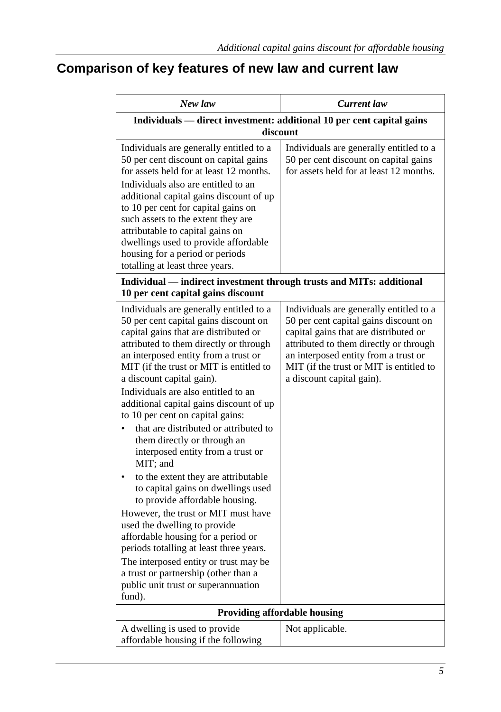# **Comparison of key features of new law and current law**

| New law                                                                                                                                                                                                                                                                                                                                                                                                                                                                                                                                                                                                                                                                                                                                                                                                                                                                                                                                     | Current law                                                                                                                                                                                                                                                                         |  |  |
|---------------------------------------------------------------------------------------------------------------------------------------------------------------------------------------------------------------------------------------------------------------------------------------------------------------------------------------------------------------------------------------------------------------------------------------------------------------------------------------------------------------------------------------------------------------------------------------------------------------------------------------------------------------------------------------------------------------------------------------------------------------------------------------------------------------------------------------------------------------------------------------------------------------------------------------------|-------------------------------------------------------------------------------------------------------------------------------------------------------------------------------------------------------------------------------------------------------------------------------------|--|--|
|                                                                                                                                                                                                                                                                                                                                                                                                                                                                                                                                                                                                                                                                                                                                                                                                                                                                                                                                             | Individuals — direct investment: additional 10 per cent capital gains<br>discount                                                                                                                                                                                                   |  |  |
| Individuals are generally entitled to a<br>50 per cent discount on capital gains<br>for assets held for at least 12 months.<br>Individuals also are entitled to an<br>additional capital gains discount of up<br>to 10 per cent for capital gains on<br>such assets to the extent they are<br>attributable to capital gains on<br>dwellings used to provide affordable<br>housing for a period or periods<br>totalling at least three years.                                                                                                                                                                                                                                                                                                                                                                                                                                                                                                | Individuals are generally entitled to a<br>50 per cent discount on capital gains<br>for assets held for at least 12 months.                                                                                                                                                         |  |  |
| Individual — indirect investment through trusts and MITs: additional<br>10 per cent capital gains discount                                                                                                                                                                                                                                                                                                                                                                                                                                                                                                                                                                                                                                                                                                                                                                                                                                  |                                                                                                                                                                                                                                                                                     |  |  |
| Individuals are generally entitled to a<br>50 per cent capital gains discount on<br>capital gains that are distributed or<br>attributed to them directly or through<br>an interposed entity from a trust or<br>MIT (if the trust or MIT is entitled to<br>a discount capital gain).<br>Individuals are also entitled to an<br>additional capital gains discount of up<br>to 10 per cent on capital gains:<br>that are distributed or attributed to<br>them directly or through an<br>interposed entity from a trust or<br>MIT; and<br>to the extent they are attributable<br>to capital gains on dwellings used<br>to provide affordable housing.<br>However, the trust or MIT must have<br>used the dwelling to provide<br>affordable housing for a period or<br>periods totalling at least three years.<br>The interposed entity or trust may be<br>a trust or partnership (other than a<br>public unit trust or superannuation<br>fund). | Individuals are generally entitled to a<br>50 per cent capital gains discount on<br>capital gains that are distributed or<br>attributed to them directly or through<br>an interposed entity from a trust or<br>MIT (if the trust or MIT is entitled to<br>a discount capital gain). |  |  |
|                                                                                                                                                                                                                                                                                                                                                                                                                                                                                                                                                                                                                                                                                                                                                                                                                                                                                                                                             | Providing affordable housing                                                                                                                                                                                                                                                        |  |  |
| A dwelling is used to provide<br>affordable housing if the following                                                                                                                                                                                                                                                                                                                                                                                                                                                                                                                                                                                                                                                                                                                                                                                                                                                                        | Not applicable.                                                                                                                                                                                                                                                                     |  |  |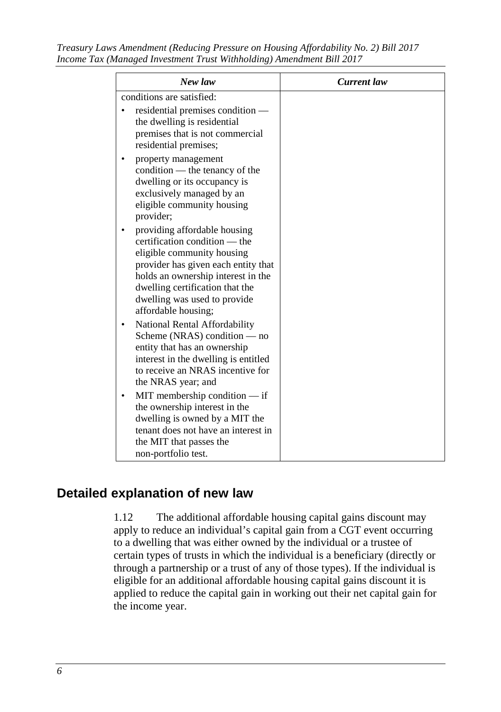*Treasury Laws Amendment (Reducing Pressure on Housing Affordability No. 2) Bill 2017 Income Tax (Managed Investment Trust Withholding) Amendment Bill 2017* 

| New law                                                                                                                                                                                                                                                            | <b>Current</b> law |
|--------------------------------------------------------------------------------------------------------------------------------------------------------------------------------------------------------------------------------------------------------------------|--------------------|
| conditions are satisfied:                                                                                                                                                                                                                                          |                    |
| residential premises condition —<br>the dwelling is residential<br>premises that is not commercial<br>residential premises;                                                                                                                                        |                    |
| property management<br>condition — the tenancy of the<br>dwelling or its occupancy is<br>exclusively managed by an<br>eligible community housing<br>provider;                                                                                                      |                    |
| providing affordable housing<br>certification condition — the<br>eligible community housing<br>provider has given each entity that<br>holds an ownership interest in the<br>dwelling certification that the<br>dwelling was used to provide<br>affordable housing; |                    |
| National Rental Affordability<br>Scheme (NRAS) condition — no<br>entity that has an ownership<br>interest in the dwelling is entitled<br>to receive an NRAS incentive for<br>the NRAS year; and                                                                    |                    |
| MIT membership condition - if<br>the ownership interest in the<br>dwelling is owned by a MIT the<br>tenant does not have an interest in<br>the MIT that passes the<br>non-portfolio test.                                                                          |                    |

# **Detailed explanation of new law**

1.12 The additional affordable housing capital gains discount may apply to reduce an individual's capital gain from a CGT event occurring to a dwelling that was either owned by the individual or a trustee of certain types of trusts in which the individual is a beneficiary (directly or through a partnership or a trust of any of those types). If the individual is eligible for an additional affordable housing capital gains discount it is applied to reduce the capital gain in working out their net capital gain for the income year.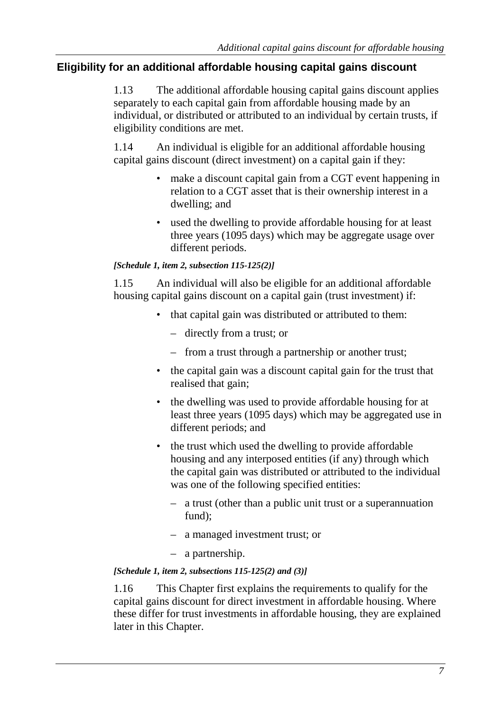# **Eligibility for an additional affordable housing capital gains discount**

1.13 The additional affordable housing capital gains discount applies separately to each capital gain from affordable housing made by an individual, or distributed or attributed to an individual by certain trusts, if eligibility conditions are met.

1.14 An individual is eligible for an additional affordable housing capital gains discount (direct investment) on a capital gain if they:

- make a discount capital gain from a CGT event happening in relation to a CGT asset that is their ownership interest in a dwelling; and
- used the dwelling to provide affordable housing for at least three years (1095 days) which may be aggregate usage over different periods.

### *[Schedule 1, item 2, subsection 115-125(2)]*

1.15 An individual will also be eligible for an additional affordable housing capital gains discount on a capital gain (trust investment) if:

- that capital gain was distributed or attributed to them:
	- directly from a trust; or
	- from a trust through a partnership or another trust;
- the capital gain was a discount capital gain for the trust that realised that gain;
- the dwelling was used to provide affordable housing for at least three years (1095 days) which may be aggregated use in different periods; and
- the trust which used the dwelling to provide affordable housing and any interposed entities (if any) through which the capital gain was distributed or attributed to the individual was one of the following specified entities:
	- a trust (other than a public unit trust or a superannuation fund):
	- a managed investment trust; or
	- a partnership.

# *[Schedule 1, item 2, subsections 115-125(2) and (3)]*

1.16 This Chapter first explains the requirements to qualify for the capital gains discount for direct investment in affordable housing. Where these differ for trust investments in affordable housing, they are explained later in this Chapter.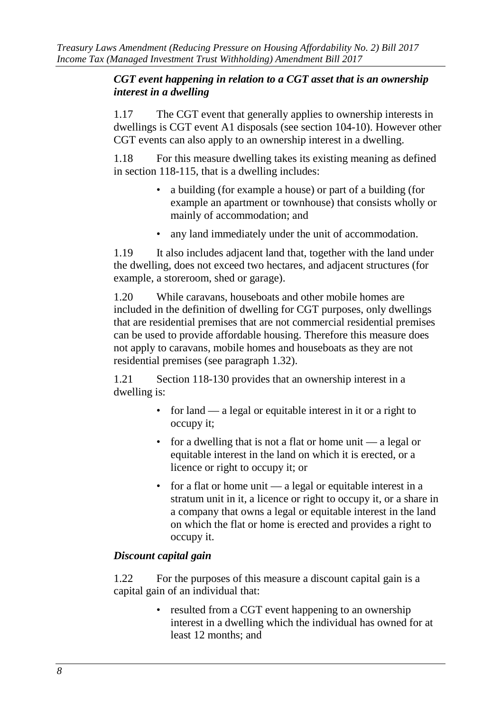#### *CGT event happening in relation to a CGT asset that is an ownership interest in a dwelling*

1.17 The CGT event that generally applies to ownership interests in dwellings is CGT event A1 disposals (see section 104-10). However other CGT events can also apply to an ownership interest in a dwelling.

1.18 For this measure dwelling takes its existing meaning as defined in section 118-115, that is a dwelling includes:

- a building (for example a house) or part of a building (for example an apartment or townhouse) that consists wholly or mainly of accommodation; and
- any land immediately under the unit of accommodation.

1.19 It also includes adjacent land that, together with the land under the dwelling, does not exceed two hectares, and adjacent structures (for example, a storeroom, shed or garage).

1.20 While caravans, houseboats and other mobile homes are included in the definition of dwelling for CGT purposes, only dwellings that are residential premises that are not commercial residential premises can be used to provide affordable housing. Therefore this measure does not apply to caravans, mobile homes and houseboats as they are not residential premises (see paragraph 1.32).

1.21 Section 118-130 provides that an ownership interest in a dwelling is:

- for land a legal or equitable interest in it or a right to occupy it;
- for a dwelling that is not a flat or home unit a legal or equitable interest in the land on which it is erected, or a licence or right to occupy it; or
- for a flat or home unit a legal or equitable interest in a stratum unit in it, a licence or right to occupy it, or a share in a company that owns a legal or equitable interest in the land on which the flat or home is erected and provides a right to occupy it.

# *Discount capital gain*

1.22 For the purposes of this measure a discount capital gain is a capital gain of an individual that:

> • resulted from a CGT event happening to an ownership interest in a dwelling which the individual has owned for at least 12 months; and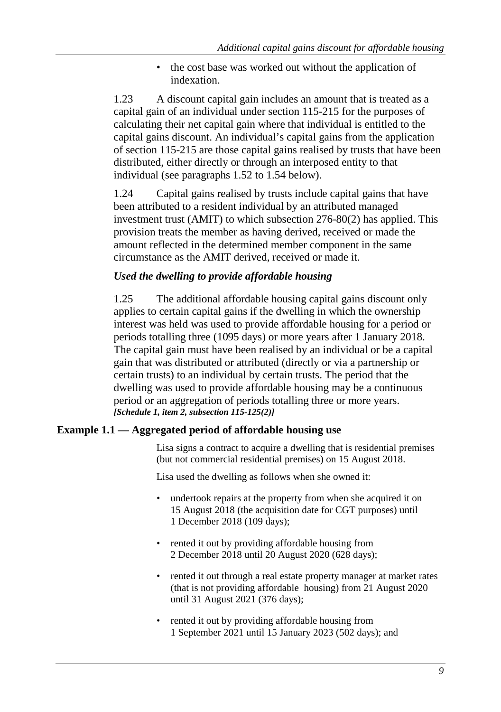• the cost base was worked out without the application of indexation.

1.23 A discount capital gain includes an amount that is treated as a capital gain of an individual under section 115-215 for the purposes of calculating their net capital gain where that individual is entitled to the capital gains discount. An individual's capital gains from the application of section 115-215 are those capital gains realised by trusts that have been distributed, either directly or through an interposed entity to that individual (see paragraphs 1.52 to 1.54 below).

1.24 Capital gains realised by trusts include capital gains that have been attributed to a resident individual by an attributed managed investment trust (AMIT) to which subsection 276-80(2) has applied. This provision treats the member as having derived, received or made the amount reflected in the determined member component in the same circumstance as the AMIT derived, received or made it.

# *Used the dwelling to provide affordable housing*

1.25 The additional affordable housing capital gains discount only applies to certain capital gains if the dwelling in which the ownership interest was held was used to provide affordable housing for a period or periods totalling three (1095 days) or more years after 1 January 2018. The capital gain must have been realised by an individual or be a capital gain that was distributed or attributed (directly or via a partnership or certain trusts) to an individual by certain trusts. The period that the dwelling was used to provide affordable housing may be a continuous period or an aggregation of periods totalling three or more years. *[Schedule 1, item 2, subsection 115-125(2)]*

# **Example 1.1 — Aggregated period of affordable housing use**

Lisa signs a contract to acquire a dwelling that is residential premises (but not commercial residential premises) on 15 August 2018.

Lisa used the dwelling as follows when she owned it:

- undertook repairs at the property from when she acquired it on 15 August 2018 (the acquisition date for CGT purposes) until 1 December 2018 (109 days);
- rented it out by providing affordable housing from 2 December 2018 until 20 August 2020 (628 days);
- rented it out through a real estate property manager at market rates (that is not providing affordable housing) from 21 August 2020 until 31 August 2021 (376 days);
- rented it out by providing affordable housing from 1 September 2021 until 15 January 2023 (502 days); and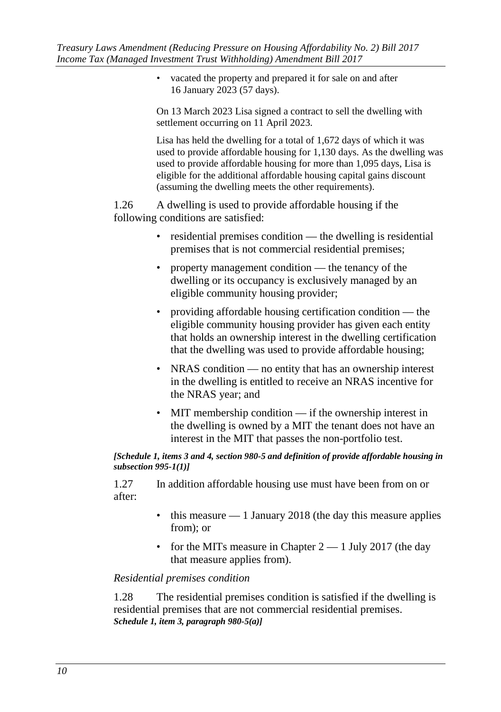• vacated the property and prepared it for sale on and after 16 January 2023 (57 days).

On 13 March 2023 Lisa signed a contract to sell the dwelling with settlement occurring on 11 April 2023.

Lisa has held the dwelling for a total of 1,672 days of which it was used to provide affordable housing for 1,130 days. As the dwelling was used to provide affordable housing for more than 1,095 days, Lisa is eligible for the additional affordable housing capital gains discount (assuming the dwelling meets the other requirements).

1.26 A dwelling is used to provide affordable housing if the following conditions are satisfied:

- residential premises condition the dwelling is residential premises that is not commercial residential premises;
- property management condition the tenancy of the dwelling or its occupancy is exclusively managed by an eligible community housing provider;
- providing affordable housing certification condition the eligible community housing provider has given each entity that holds an ownership interest in the dwelling certification that the dwelling was used to provide affordable housing;
- NRAS condition no entity that has an ownership interest in the dwelling is entitled to receive an NRAS incentive for the NRAS year; and
- MIT membership condition if the ownership interest in the dwelling is owned by a MIT the tenant does not have an interest in the MIT that passes the non-portfolio test.

#### *[Schedule 1, items 3 and 4, section 980-5 and definition of provide affordable housing in subsection 995-1(1)]*

1.27 In addition affordable housing use must have been from on or after:

- $\bullet$  this measure  $-1$  January 2018 (the day this measure applies from); or
- for the MITs measure in Chapter  $2 1$  July 2017 (the day that measure applies from).

# *Residential premises condition*

1.28 The residential premises condition is satisfied if the dwelling is residential premises that are not commercial residential premises. *Schedule 1, item 3, paragraph 980-5(a)]*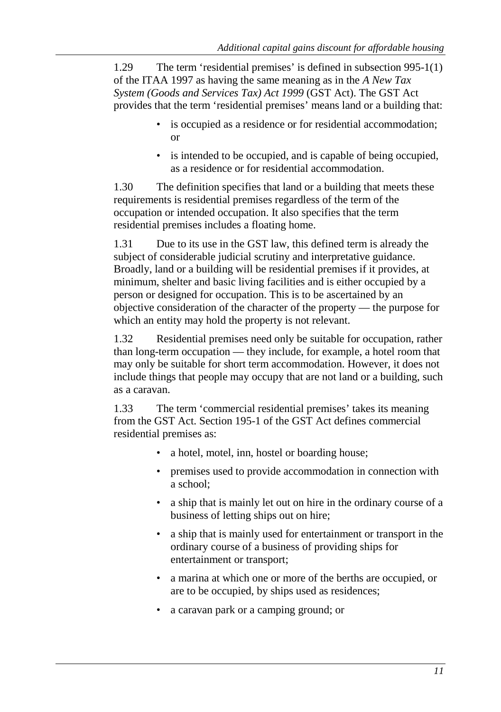1.29 The term 'residential premises' is defined in subsection 995-1(1) of the ITAA 1997 as having the same meaning as in the *A New Tax System (Goods and Services Tax) Act 1999* (GST Act). The GST Act provides that the term 'residential premises' means land or a building that:

- is occupied as a residence or for residential accommodation; or
- is intended to be occupied, and is capable of being occupied, as a residence or for residential accommodation.

1.30 The definition specifies that land or a building that meets these requirements is residential premises regardless of the term of the occupation or intended occupation. It also specifies that the term residential premises includes a floating home.

1.31 Due to its use in the GST law, this defined term is already the subject of considerable judicial scrutiny and interpretative guidance. Broadly, land or a building will be residential premises if it provides, at minimum, shelter and basic living facilities and is either occupied by a person or designed for occupation. This is to be ascertained by an objective consideration of the character of the property — the purpose for which an entity may hold the property is not relevant.

1.32 Residential premises need only be suitable for occupation, rather than long-term occupation — they include, for example, a hotel room that may only be suitable for short term accommodation. However, it does not include things that people may occupy that are not land or a building, such as a caravan.

1.33 The term 'commercial residential premises' takes its meaning from the GST Act. Section 195-1 of the GST Act defines commercial residential premises as:

- a hotel, motel, inn, hostel or boarding house;
- premises used to provide accommodation in connection with a school;
- a ship that is mainly let out on hire in the ordinary course of a business of letting ships out on hire;
- a ship that is mainly used for entertainment or transport in the ordinary course of a business of providing ships for entertainment or transport;
- a marina at which one or more of the berths are occupied, or are to be occupied, by ships used as residences;
- a caravan park or a camping ground; or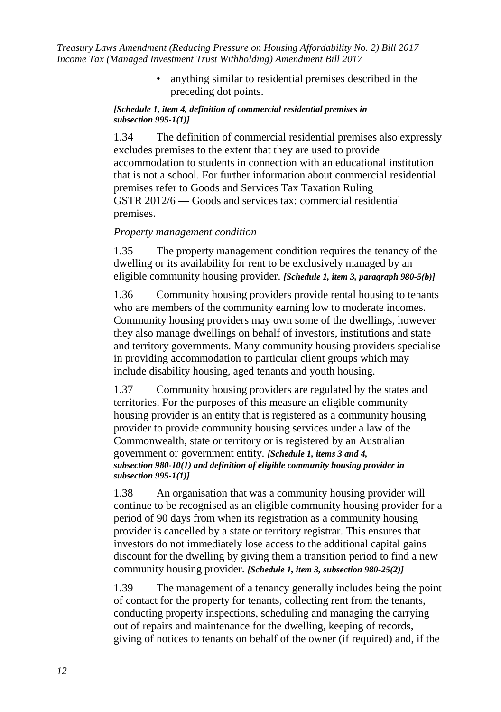• anything similar to residential premises described in the preceding dot points.

#### *[Schedule 1, item 4, definition of commercial residential premises in subsection 995-1(1)]*

1.34 The definition of commercial residential premises also expressly excludes premises to the extent that they are used to provide accommodation to students in connection with an educational institution that is not a school. For further information about commercial residential premises refer to Goods and Services Tax Taxation Ruling GSTR 2012/6 — Goods and services tax: commercial residential premises.

### *Property management condition*

1.35 The property management condition requires the tenancy of the dwelling or its availability for rent to be exclusively managed by an eligible community housing provider. *[Schedule 1, item 3, paragraph 980-5(b)]*

1.36 Community housing providers provide rental housing to tenants who are members of the community earning low to moderate incomes. Community housing providers may own some of the dwellings, however they also manage dwellings on behalf of investors, institutions and state and territory governments. Many community housing providers specialise in providing accommodation to particular client groups which may include disability housing, aged tenants and youth housing.

1.37 Community housing providers are regulated by the states and territories. For the purposes of this measure an eligible community housing provider is an entity that is registered as a community housing provider to provide community housing services under a law of the Commonwealth, state or territory or is registered by an Australian government or government entity. *[Schedule 1, items 3 and 4, subsection 980-10(1) and definition of eligible community housing provider in subsection 995-1(1)]*

1.38 An organisation that was a community housing provider will continue to be recognised as an eligible community housing provider for a period of 90 days from when its registration as a community housing provider is cancelled by a state or territory registrar. This ensures that investors do not immediately lose access to the additional capital gains discount for the dwelling by giving them a transition period to find a new community housing provider. *[Schedule 1, item 3, subsection 980-25(2)]*

1.39 The management of a tenancy generally includes being the point of contact for the property for tenants, collecting rent from the tenants, conducting property inspections, scheduling and managing the carrying out of repairs and maintenance for the dwelling, keeping of records, giving of notices to tenants on behalf of the owner (if required) and, if the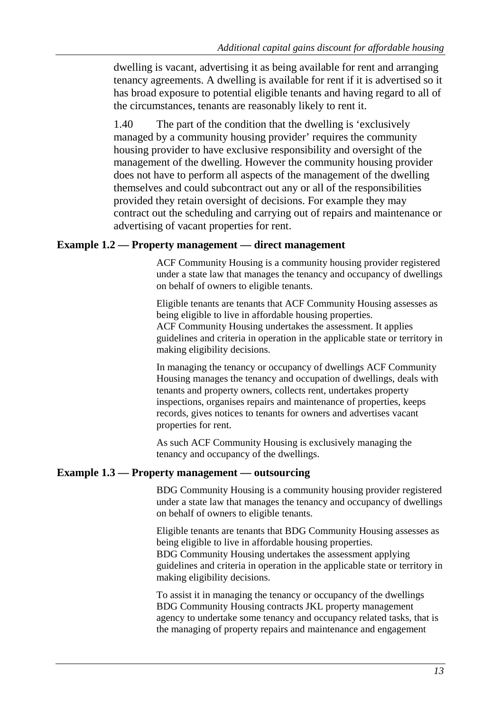dwelling is vacant, advertising it as being available for rent and arranging tenancy agreements. A dwelling is available for rent if it is advertised so it has broad exposure to potential eligible tenants and having regard to all of the circumstances, tenants are reasonably likely to rent it.

1.40 The part of the condition that the dwelling is 'exclusively managed by a community housing provider' requires the community housing provider to have exclusive responsibility and oversight of the management of the dwelling. However the community housing provider does not have to perform all aspects of the management of the dwelling themselves and could subcontract out any or all of the responsibilities provided they retain oversight of decisions. For example they may contract out the scheduling and carrying out of repairs and maintenance or advertising of vacant properties for rent.

#### **Example 1.2 — Property management — direct management**

ACF Community Housing is a community housing provider registered under a state law that manages the tenancy and occupancy of dwellings on behalf of owners to eligible tenants.

Eligible tenants are tenants that ACF Community Housing assesses as being eligible to live in affordable housing properties. ACF Community Housing undertakes the assessment. It applies guidelines and criteria in operation in the applicable state or territory in making eligibility decisions.

In managing the tenancy or occupancy of dwellings ACF Community Housing manages the tenancy and occupation of dwellings, deals with tenants and property owners, collects rent, undertakes property inspections, organises repairs and maintenance of properties, keeps records, gives notices to tenants for owners and advertises vacant properties for rent.

As such ACF Community Housing is exclusively managing the tenancy and occupancy of the dwellings.

#### **Example 1.3 — Property management — outsourcing**

BDG Community Housing is a community housing provider registered under a state law that manages the tenancy and occupancy of dwellings on behalf of owners to eligible tenants.

Eligible tenants are tenants that BDG Community Housing assesses as being eligible to live in affordable housing properties.

BDG Community Housing undertakes the assessment applying guidelines and criteria in operation in the applicable state or territory in making eligibility decisions.

To assist it in managing the tenancy or occupancy of the dwellings BDG Community Housing contracts JKL property management agency to undertake some tenancy and occupancy related tasks, that is the managing of property repairs and maintenance and engagement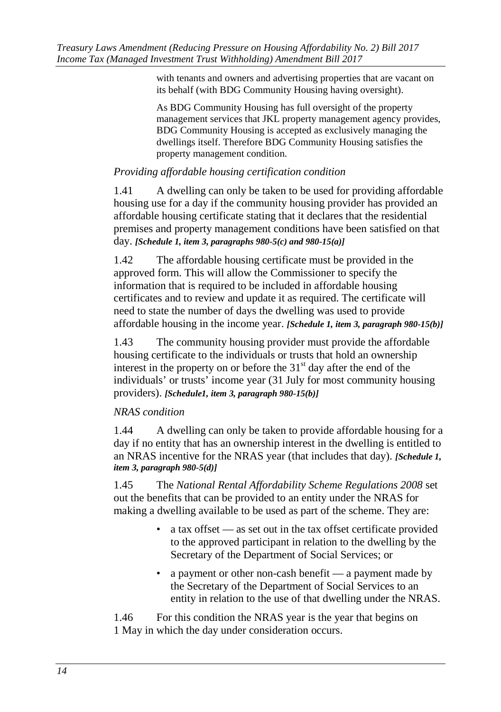with tenants and owners and advertising properties that are vacant on its behalf (with BDG Community Housing having oversight).

As BDG Community Housing has full oversight of the property management services that JKL property management agency provides, BDG Community Housing is accepted as exclusively managing the dwellings itself. Therefore BDG Community Housing satisfies the property management condition.

### *Providing affordable housing certification condition*

1.41 A dwelling can only be taken to be used for providing affordable housing use for a day if the community housing provider has provided an affordable housing certificate stating that it declares that the residential premises and property management conditions have been satisfied on that day. *[Schedule 1, item 3, paragraphs 980-5(c) and 980-15(a)]*

1.42 The affordable housing certificate must be provided in the approved form. This will allow the Commissioner to specify the information that is required to be included in affordable housing certificates and to review and update it as required. The certificate will need to state the number of days the dwelling was used to provide affordable housing in the income year. *[Schedule 1, item 3, paragraph 980-15(b)]*

1.43 The community housing provider must provide the affordable housing certificate to the individuals or trusts that hold an ownership interest in the property on or before the  $31<sup>st</sup>$  day after the end of the individuals' or trusts' income year (31 July for most community housing providers). *[Schedule1, item 3, paragraph 980-15(b)]*

# *NRAS condition*

1.44 A dwelling can only be taken to provide affordable housing for a day if no entity that has an ownership interest in the dwelling is entitled to an NRAS incentive for the NRAS year (that includes that day). *[Schedule 1, item 3, paragraph 980-5(d)]*

1.45 The *National Rental Affordability Scheme Regulations 2008* set out the benefits that can be provided to an entity under the NRAS for making a dwelling available to be used as part of the scheme. They are:

- a tax offset as set out in the tax offset certificate provided to the approved participant in relation to the dwelling by the Secretary of the Department of Social Services; or
- a payment or other non-cash benefit a payment made by the Secretary of the Department of Social Services to an entity in relation to the use of that dwelling under the NRAS.

1.46 For this condition the NRAS year is the year that begins on 1 May in which the day under consideration occurs.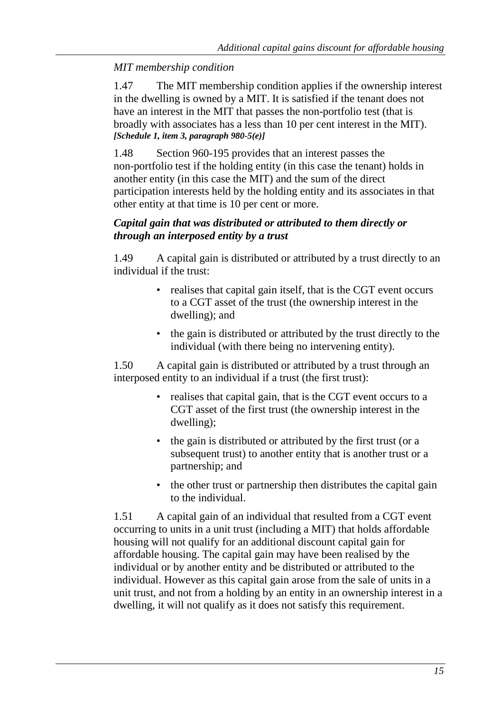# *MIT membership condition*

1.47 The MIT membership condition applies if the ownership interest in the dwelling is owned by a MIT. It is satisfied if the tenant does not have an interest in the MIT that passes the non-portfolio test (that is broadly with associates has a less than 10 per cent interest in the MIT). *[Schedule 1, item 3, paragraph 980-5(e)]*

1.48 Section 960-195 provides that an interest passes the non-portfolio test if the holding entity (in this case the tenant) holds in another entity (in this case the MIT) and the sum of the direct participation interests held by the holding entity and its associates in that other entity at that time is 10 per cent or more.

### *Capital gain that was distributed or attributed to them directly or through an interposed entity by a trust*

1.49 A capital gain is distributed or attributed by a trust directly to an individual if the trust:

- realises that capital gain itself, that is the CGT event occurs to a CGT asset of the trust (the ownership interest in the dwelling); and
- the gain is distributed or attributed by the trust directly to the individual (with there being no intervening entity).

1.50 A capital gain is distributed or attributed by a trust through an interposed entity to an individual if a trust (the first trust):

- realises that capital gain, that is the CGT event occurs to a CGT asset of the first trust (the ownership interest in the dwelling);
- the gain is distributed or attributed by the first trust (or a subsequent trust) to another entity that is another trust or a partnership; and
- the other trust or partnership then distributes the capital gain to the individual.

1.51 A capital gain of an individual that resulted from a CGT event occurring to units in a unit trust (including a MIT) that holds affordable housing will not qualify for an additional discount capital gain for affordable housing. The capital gain may have been realised by the individual or by another entity and be distributed or attributed to the individual. However as this capital gain arose from the sale of units in a unit trust, and not from a holding by an entity in an ownership interest in a dwelling, it will not qualify as it does not satisfy this requirement.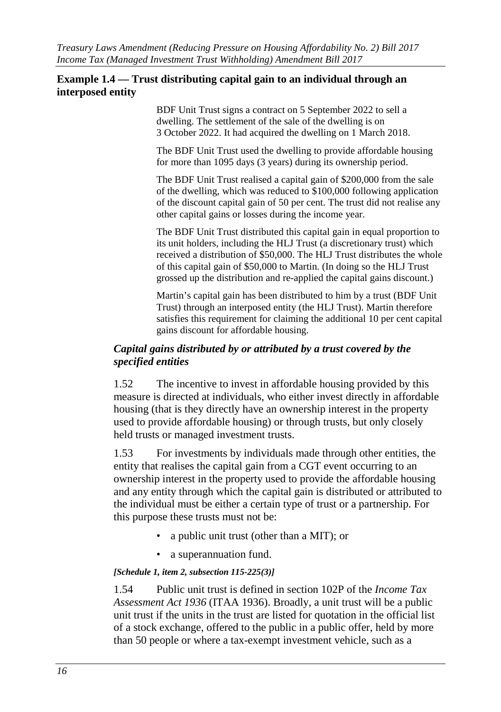#### **Example 1.4 — Trust distributing capital gain to an individual through an interposed entity**

BDF Unit Trust signs a contract on 5 September 2022 to sell a dwelling. The settlement of the sale of the dwelling is on 3 October 2022. It had acquired the dwelling on 1 March 2018.

The BDF Unit Trust used the dwelling to provide affordable housing for more than 1095 days (3 years) during its ownership period.

The BDF Unit Trust realised a capital gain of \$200,000 from the sale of the dwelling, which was reduced to \$100,000 following application of the discount capital gain of 50 per cent. The trust did not realise any other capital gains or losses during the income year.

The BDF Unit Trust distributed this capital gain in equal proportion to its unit holders, including the HLJ Trust (a discretionary trust) which received a distribution of \$50,000. The HLJ Trust distributes the whole of this capital gain of \$50,000 to Martin. (In doing so the HLJ Trust grossed up the distribution and re-applied the capital gains discount.)

Martin's capital gain has been distributed to him by a trust (BDF Unit Trust) through an interposed entity (the HLJ Trust). Martin therefore satisfies this requirement for claiming the additional 10 per cent capital gains discount for affordable housing.

#### *Capital gains distributed by or attributed by a trust covered by the specified entities*

1.52 The incentive to invest in affordable housing provided by this measure is directed at individuals, who either invest directly in affordable housing (that is they directly have an ownership interest in the property used to provide affordable housing) or through trusts, but only closely held trusts or managed investment trusts.

1.53 For investments by individuals made through other entities, the entity that realises the capital gain from a CGT event occurring to an ownership interest in the property used to provide the affordable housing and any entity through which the capital gain is distributed or attributed to the individual must be either a certain type of trust or a partnership. For this purpose these trusts must not be:

- a public unit trust (other than a MIT); or
- a superannuation fund.

#### *[Schedule 1, item 2, subsection 115-225(3)]*

1.54 Public unit trust is defined in section 102P of the *Income Tax Assessment Act 1936* (ITAA 1936). Broadly, a unit trust will be a public unit trust if the units in the trust are listed for quotation in the official list of a stock exchange, offered to the public in a public offer, held by more than 50 people or where a tax-exempt investment vehicle, such as a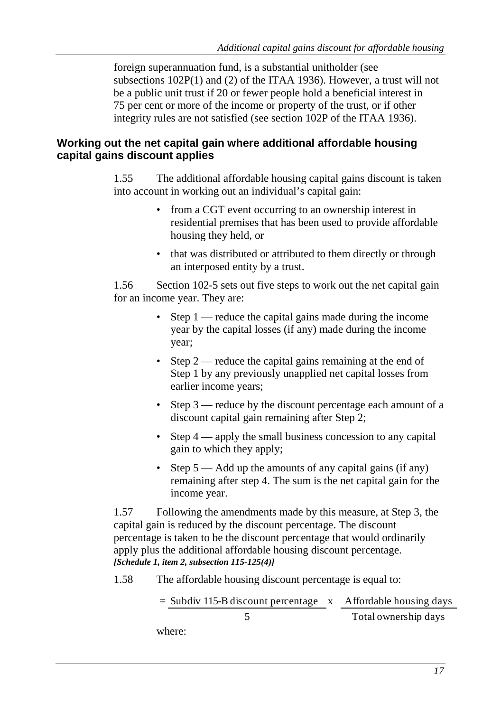foreign superannuation fund, is a substantial unitholder (see subsections 102P(1) and (2) of the ITAA 1936). However, a trust will not be a public unit trust if 20 or fewer people hold a beneficial interest in 75 per cent or more of the income or property of the trust, or if other integrity rules are not satisfied (see section 102P of the ITAA 1936).

# **Working out the net capital gain where additional affordable housing capital gains discount applies**

1.55 The additional affordable housing capital gains discount is taken into account in working out an individual's capital gain:

- from a CGT event occurring to an ownership interest in residential premises that has been used to provide affordable housing they held, or
- that was distributed or attributed to them directly or through an interposed entity by a trust.

1.56 Section 102-5 sets out five steps to work out the net capital gain for an income year. They are:

- Step 1 reduce the capital gains made during the income year by the capital losses (if any) made during the income year;
- Step 2 reduce the capital gains remaining at the end of Step 1 by any previously unapplied net capital losses from earlier income years;
- Step 3 reduce by the discount percentage each amount of a discount capital gain remaining after Step 2;
- Step 4 apply the small business concession to any capital gain to which they apply;
- Step 5 Add up the amounts of any capital gains (if any) remaining after step 4. The sum is the net capital gain for the income year.

1.57 Following the amendments made by this measure, at Step 3, the capital gain is reduced by the discount percentage. The discount percentage is taken to be the discount percentage that would ordinarily apply plus the additional affordable housing discount percentage. *[Schedule 1, item 2, subsection 115-125(4)]*

1.58 The affordable housing discount percentage is equal to:

$$
= \frac{\text{Subdiv 115-B discount percentage}}{5} \times \frac{\text{Affordable housing days}}{\text{Total ownership days}}
$$

where: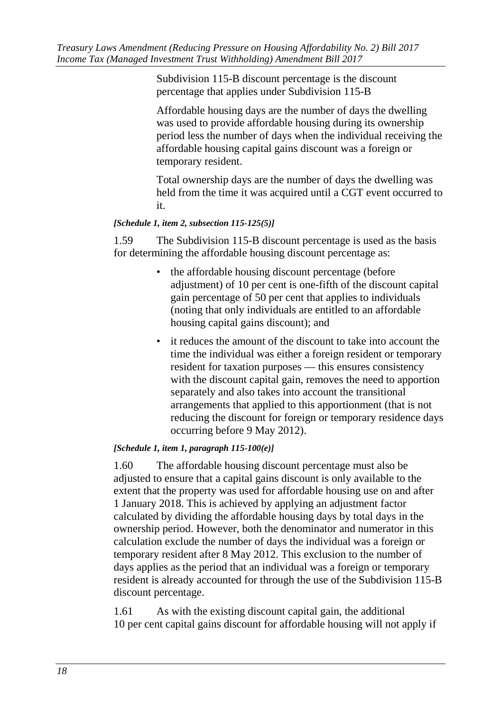Subdivision 115-B discount percentage is the discount percentage that applies under Subdivision 115-B

Affordable housing days are the number of days the dwelling was used to provide affordable housing during its ownership period less the number of days when the individual receiving the affordable housing capital gains discount was a foreign or temporary resident.

Total ownership days are the number of days the dwelling was held from the time it was acquired until a CGT event occurred to it.

#### *[Schedule 1, item 2, subsection 115-125(5)]*

1.59 The Subdivision 115-B discount percentage is used as the basis for determining the affordable housing discount percentage as:

- the affordable housing discount percentage (before adjustment) of 10 per cent is one-fifth of the discount capital gain percentage of 50 per cent that applies to individuals (noting that only individuals are entitled to an affordable housing capital gains discount); and
- it reduces the amount of the discount to take into account the time the individual was either a foreign resident or temporary resident for taxation purposes — this ensures consistency with the discount capital gain, removes the need to apportion separately and also takes into account the transitional arrangements that applied to this apportionment (that is not reducing the discount for foreign or temporary residence days occurring before 9 May 2012).

#### *[Schedule 1, item 1, paragraph 115-100(e)]*

1.60 The affordable housing discount percentage must also be adjusted to ensure that a capital gains discount is only available to the extent that the property was used for affordable housing use on and after 1 January 2018. This is achieved by applying an adjustment factor calculated by dividing the affordable housing days by total days in the ownership period. However, both the denominator and numerator in this calculation exclude the number of days the individual was a foreign or temporary resident after 8 May 2012. This exclusion to the number of days applies as the period that an individual was a foreign or temporary resident is already accounted for through the use of the Subdivision 115-B discount percentage.

1.61 As with the existing discount capital gain, the additional 10 per cent capital gains discount for affordable housing will not apply if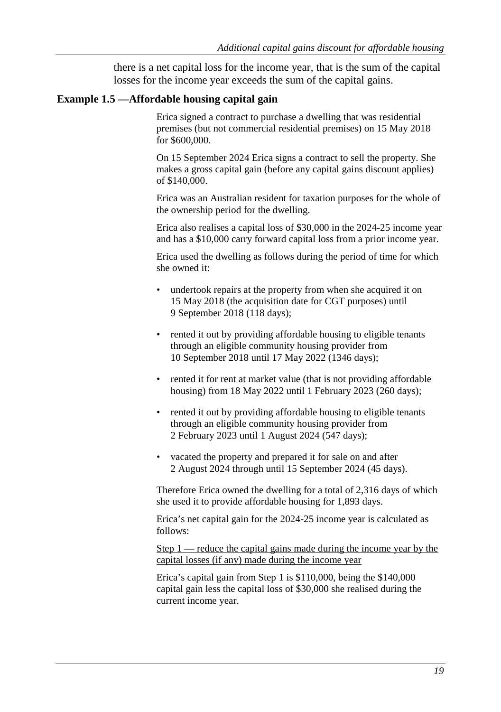there is a net capital loss for the income year, that is the sum of the capital losses for the income year exceeds the sum of the capital gains.

#### **Example 1.5 —Affordable housing capital gain**

Erica signed a contract to purchase a dwelling that was residential premises (but not commercial residential premises) on 15 May 2018 for \$600,000.

On 15 September 2024 Erica signs a contract to sell the property. She makes a gross capital gain (before any capital gains discount applies) of \$140,000.

Erica was an Australian resident for taxation purposes for the whole of the ownership period for the dwelling.

Erica also realises a capital loss of \$30,000 in the 2024-25 income year and has a \$10,000 carry forward capital loss from a prior income year.

Erica used the dwelling as follows during the period of time for which she owned it:

- undertook repairs at the property from when she acquired it on 15 May 2018 (the acquisition date for CGT purposes) until 9 September 2018 (118 days);
- rented it out by providing affordable housing to eligible tenants through an eligible community housing provider from 10 September 2018 until 17 May 2022 (1346 days);
- rented it for rent at market value (that is not providing affordable housing) from 18 May 2022 until 1 February 2023 (260 days);
- rented it out by providing affordable housing to eligible tenants through an eligible community housing provider from 2 February 2023 until 1 August 2024 (547 days);
- vacated the property and prepared it for sale on and after 2 August 2024 through until 15 September 2024 (45 days).

Therefore Erica owned the dwelling for a total of 2,316 days of which she used it to provide affordable housing for 1,893 days.

Erica's net capital gain for the 2024-25 income year is calculated as follows:

Step  $1$  — reduce the capital gains made during the income year by the capital losses (if any) made during the income year

Erica's capital gain from Step 1 is \$110,000, being the \$140,000 capital gain less the capital loss of \$30,000 she realised during the current income year.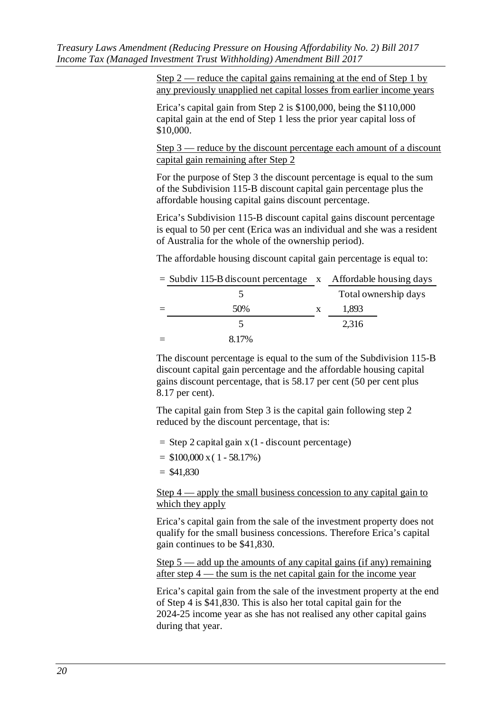Step  $2$  — reduce the capital gains remaining at the end of Step 1 by any previously unapplied net capital losses from earlier income years

Erica's capital gain from Step 2 is \$100,000, being the \$110,000 capital gain at the end of Step 1 less the prior year capital loss of \$10,000.

Step 3 — reduce by the discount percentage each amount of a discount capital gain remaining after Step 2

For the purpose of Step 3 the discount percentage is equal to the sum of the Subdivision 115-B discount capital gain percentage plus the affordable housing capital gains discount percentage.

Erica's Subdivision 115-B discount capital gains discount percentage is equal to 50 per cent (Erica was an individual and she was a resident of Australia for the whole of the ownership period).

The affordable housing discount capital gain percentage is equal to:

| $=$ Subdiv 115-B discount percentage $\bar{x}$ Affordable housing days |   |                      |
|------------------------------------------------------------------------|---|----------------------|
|                                                                        |   | Total ownership days |
| 50%                                                                    | X | 1,893                |
|                                                                        |   | 2,316                |
| 8.17%                                                                  |   |                      |

The discount percentage is equal to the sum of the Subdivision 115-B discount capital gain percentage and the affordable housing capital gains discount percentage, that is 58.17 per cent (50 per cent plus 8.17 per cent).

The capital gain from Step 3 is the capital gain following step 2 reduced by the discount percentage, that is:

= Step 2 capital gain x(1 - discount percentage)

 $=$  \$100,000 x (1 - 58.17%)

 $= $41,830$ 

Step  $4$  — apply the small business concession to any capital gain to which they apply

Erica's capital gain from the sale of the investment property does not qualify for the small business concessions. Therefore Erica's capital gain continues to be \$41,830.

Step  $5$  — add up the amounts of any capital gains (if any) remaining after step 4 — the sum is the net capital gain for the income year

Erica's capital gain from the sale of the investment property at the end of Step 4 is \$41,830. This is also her total capital gain for the 2024-25 income year as she has not realised any other capital gains during that year.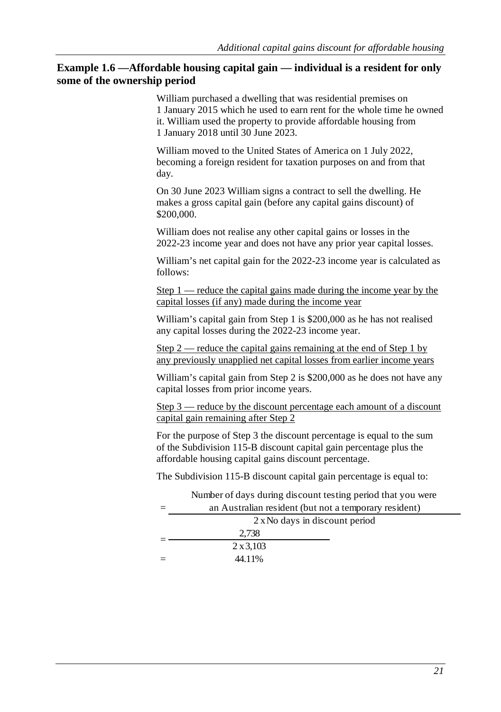#### **Example 1.6 —Affordable housing capital gain — individual is a resident for only some of the ownership period**

William purchased a dwelling that was residential premises on 1 January 2015 which he used to earn rent for the whole time he owned it. William used the property to provide affordable housing from 1 January 2018 until 30 June 2023.

William moved to the United States of America on 1 July 2022, becoming a foreign resident for taxation purposes on and from that day.

On 30 June 2023 William signs a contract to sell the dwelling. He makes a gross capital gain (before any capital gains discount) of \$200,000.

William does not realise any other capital gains or losses in the 2022-23 income year and does not have any prior year capital losses.

William's net capital gain for the 2022-23 income year is calculated as follows:

Step  $1$  — reduce the capital gains made during the income year by the capital losses (if any) made during the income year

William's capital gain from Step 1 is \$200,000 as he has not realised any capital losses during the 2022-23 income year.

Step  $2$  — reduce the capital gains remaining at the end of Step 1 by any previously unapplied net capital losses from earlier income years

William's capital gain from Step 2 is \$200,000 as he does not have any capital losses from prior income years.

Step 3 — reduce by the discount percentage each amount of a discount capital gain remaining after Step 2

For the purpose of Step 3 the discount percentage is equal to the sum of the Subdivision 115-B discount capital gain percentage plus the affordable housing capital gains discount percentage.

The Subdivision 115-B discount capital gain percentage is equal to:

|                                | Number of days during discount testing period that you were |
|--------------------------------|-------------------------------------------------------------|
|                                | an Australian resident (but not a temporary resident)       |
| 2 x No days in discount period |                                                             |
|                                | 2.738                                                       |
|                                | $2 \times 3,103$                                            |
|                                | 44.11%                                                      |
|                                |                                                             |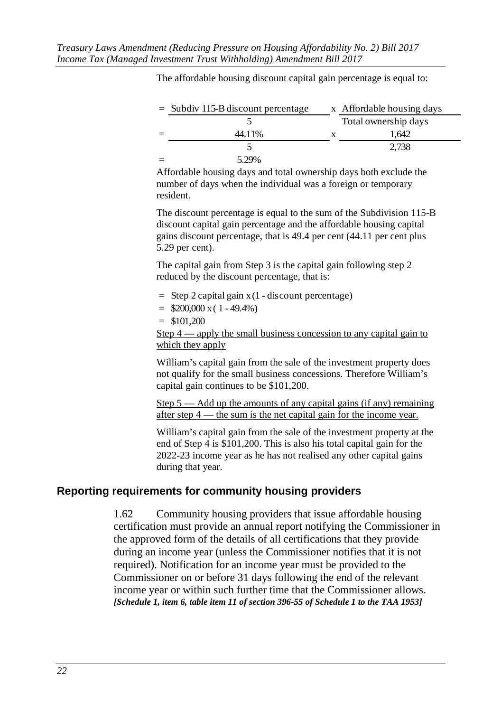| $=$ Subdiv 115-B discount percentage | x Affordable housing days |
|--------------------------------------|---------------------------|
|                                      | Total ownership days      |
| 44.11%                               | 1.642                     |
|                                      | 2,738                     |
| 5.29%                                |                           |

The affordable housing discount capital gain percentage is equal to:

Affordable housing days and total ownership days both exclude the number of days when the individual was a foreign or temporary resident.

The discount percentage is equal to the sum of the Subdivision 115-B discount capital gain percentage and the affordable housing capital gains discount percentage, that is 49.4 per cent (44.11 per cent plus 5.29 per cent).

The capital gain from Step 3 is the capital gain following step 2 reduced by the discount percentage, that is:

- = Step 2 capital gain x (1 discount percentage)
- $=$  \$200,000 x (1 49.4%)
- $=$  \$101,200

Step 4 — apply the small business concession to any capital gain to which they apply

William's capital gain from the sale of the investment property does not qualify for the small business concessions. Therefore William's capital gain continues to be \$101,200.

Step  $5$  — Add up the amounts of any capital gains (if any) remaining after step 4 — the sum is the net capital gain for the income year.

William's capital gain from the sale of the investment property at the end of Step 4 is \$101,200. This is also his total capital gain for the 2022-23 income year as he has not realised any other capital gains during that year.

#### **Reporting requirements for community housing providers**

1.62 Community housing providers that issue affordable housing certification must provide an annual report notifying the Commissioner in the approved form of the details of all certifications that they provide during an income year (unless the Commissioner notifies that it is not required). Notification for an income year must be provided to the Commissioner on or before 31 days following the end of the relevant income year or within such further time that the Commissioner allows. *[Schedule 1, item 6, table item 11 of section 396-55 of Schedule 1 to the TAA 1953]*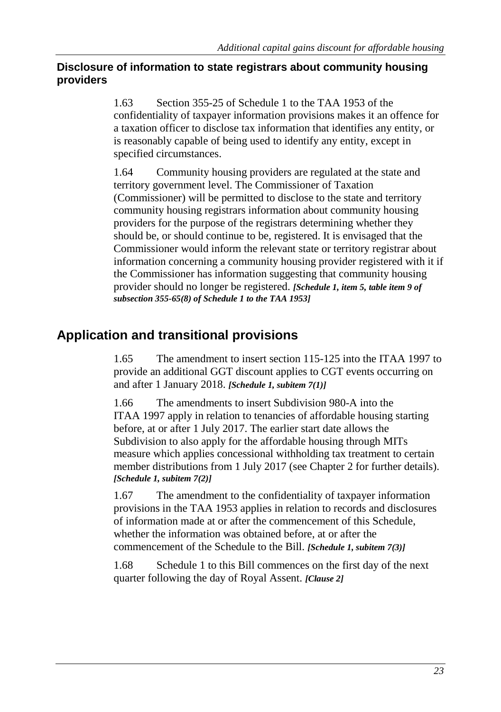# **Disclosure of information to state registrars about community housing providers**

1.63 Section 355-25 of Schedule 1 to the TAA 1953 of the confidentiality of taxpayer information provisions makes it an offence for a taxation officer to disclose tax information that identifies any entity, or is reasonably capable of being used to identify any entity, except in specified circumstances.

1.64 Community housing providers are regulated at the state and territory government level. The Commissioner of Taxation (Commissioner) will be permitted to disclose to the state and territory community housing registrars information about community housing providers for the purpose of the registrars determining whether they should be, or should continue to be, registered. It is envisaged that the Commissioner would inform the relevant state or territory registrar about information concerning a community housing provider registered with it if the Commissioner has information suggesting that community housing provider should no longer be registered. *[Schedule 1, item 5, table item 9 of subsection 355-65(8) of Schedule 1 to the TAA 1953]*

# **Application and transitional provisions**

1.65 The amendment to insert section 115-125 into the ITAA 1997 to provide an additional GGT discount applies to CGT events occurring on and after 1 January 2018. *[Schedule 1, subitem 7(1)]*

1.66 The amendments to insert Subdivision 980-A into the ITAA 1997 apply in relation to tenancies of affordable housing starting before, at or after 1 July 2017. The earlier start date allows the Subdivision to also apply for the affordable housing through MITs measure which applies concessional withholding tax treatment to certain member distributions from 1 July 2017 (see Chapter 2 for further details). *[Schedule 1, subitem 7(2)]*

1.67 The amendment to the confidentiality of taxpayer information provisions in the TAA 1953 applies in relation to records and disclosures of information made at or after the commencement of this Schedule, whether the information was obtained before, at or after the commencement of the Schedule to the Bill. *[Schedule 1, subitem 7(3)]*

1.68 Schedule 1 to this Bill commences on the first day of the next quarter following the day of Royal Assent. *[Clause 2]*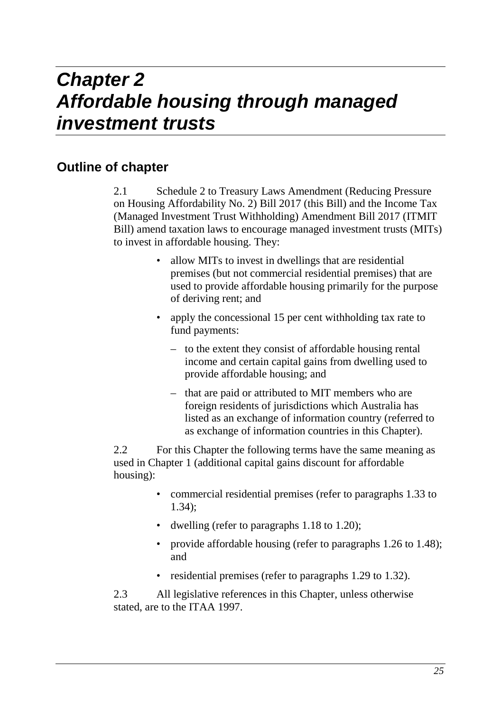# *Chapter 2 Affordable housing through managed investment trusts*

# **Outline of chapter**

2.1 Schedule 2 to Treasury Laws Amendment (Reducing Pressure on Housing Affordability No. 2) Bill 2017 (this Bill) and the Income Tax (Managed Investment Trust Withholding) Amendment Bill 2017 (ITMIT Bill) amend taxation laws to encourage managed investment trusts (MITs) to invest in affordable housing. They:

- allow MITs to invest in dwellings that are residential premises (but not commercial residential premises) that are used to provide affordable housing primarily for the purpose of deriving rent; and
- apply the concessional 15 per cent withholding tax rate to fund payments:
	- to the extent they consist of affordable housing rental income and certain capital gains from dwelling used to provide affordable housing; and
	- that are paid or attributed to MIT members who are foreign residents of jurisdictions which Australia has listed as an exchange of information country (referred to as exchange of information countries in this Chapter).

2.2 For this Chapter the following terms have the same meaning as used in Chapter 1 (additional capital gains discount for affordable housing):

- commercial residential premises (refer to paragraphs 1.33 to 1.34);
- dwelling (refer to paragraphs 1.18 to 1.20);
- provide affordable housing (refer to paragraphs 1.26 to 1.48); and
- residential premises (refer to paragraphs 1.29 to 1.32).

2.3 All legislative references in this Chapter, unless otherwise stated, are to the ITAA 1997.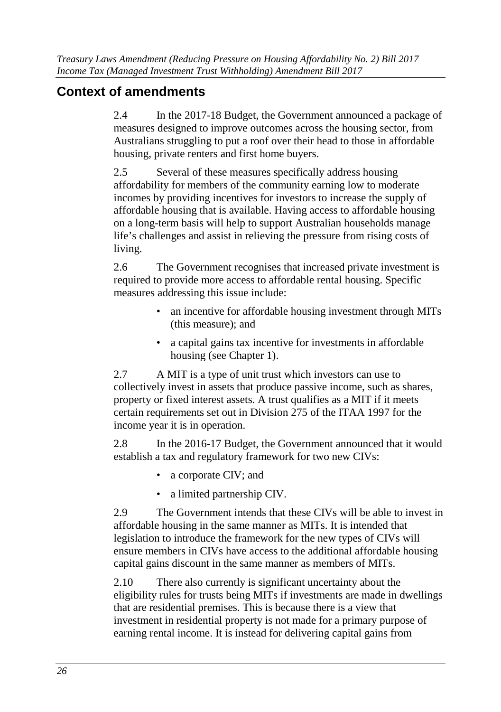# **Context of amendments**

2.4 In the 2017-18 Budget, the Government announced a package of measures designed to improve outcomes across the housing sector, from Australians struggling to put a roof over their head to those in affordable housing, private renters and first home buyers.

2.5 Several of these measures specifically address housing affordability for members of the community earning low to moderate incomes by providing incentives for investors to increase the supply of affordable housing that is available. Having access to affordable housing on a long-term basis will help to support Australian households manage life's challenges and assist in relieving the pressure from rising costs of living.

2.6 The Government recognises that increased private investment is required to provide more access to affordable rental housing. Specific measures addressing this issue include:

- an incentive for affordable housing investment through MITs (this measure); and
- a capital gains tax incentive for investments in affordable housing (see Chapter 1).

2.7 A MIT is a type of unit trust which investors can use to collectively invest in assets that produce passive income, such as shares, property or fixed interest assets. A trust qualifies as a MIT if it meets certain requirements set out in Division 275 of the ITAA 1997 for the income year it is in operation.

2.8 In the 2016-17 Budget, the Government announced that it would establish a tax and regulatory framework for two new CIVs:

- a corporate CIV; and
- a limited partnership CIV.

2.9 The Government intends that these CIVs will be able to invest in affordable housing in the same manner as MITs. It is intended that legislation to introduce the framework for the new types of CIVs will ensure members in CIVs have access to the additional affordable housing capital gains discount in the same manner as members of MITs.

2.10 There also currently is significant uncertainty about the eligibility rules for trusts being MITs if investments are made in dwellings that are residential premises. This is because there is a view that investment in residential property is not made for a primary purpose of earning rental income. It is instead for delivering capital gains from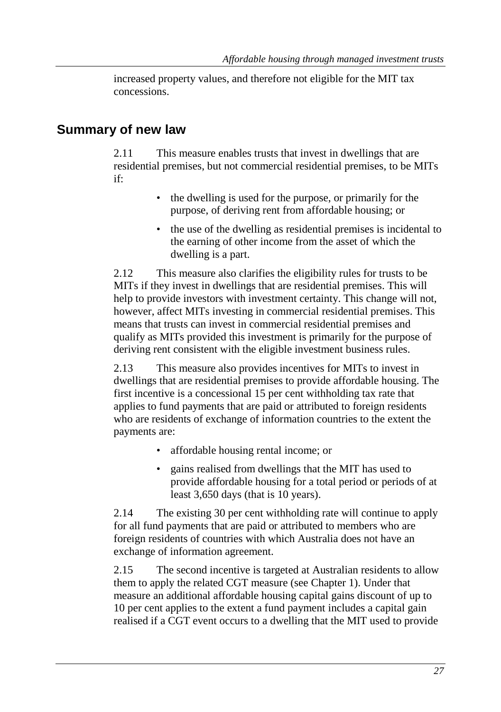increased property values, and therefore not eligible for the MIT tax concessions.

# **Summary of new law**

2.11 This measure enables trusts that invest in dwellings that are residential premises, but not commercial residential premises, to be MITs if:

- the dwelling is used for the purpose, or primarily for the purpose, of deriving rent from affordable housing; or
- the use of the dwelling as residential premises is incidental to the earning of other income from the asset of which the dwelling is a part.

2.12 This measure also clarifies the eligibility rules for trusts to be MITs if they invest in dwellings that are residential premises. This will help to provide investors with investment certainty. This change will not, however, affect MITs investing in commercial residential premises. This means that trusts can invest in commercial residential premises and qualify as MITs provided this investment is primarily for the purpose of deriving rent consistent with the eligible investment business rules.

2.13 This measure also provides incentives for MITs to invest in dwellings that are residential premises to provide affordable housing. The first incentive is a concessional 15 per cent withholding tax rate that applies to fund payments that are paid or attributed to foreign residents who are residents of exchange of information countries to the extent the payments are:

- affordable housing rental income; or
- gains realised from dwellings that the MIT has used to provide affordable housing for a total period or periods of at least 3,650 days (that is 10 years).

2.14 The existing 30 per cent withholding rate will continue to apply for all fund payments that are paid or attributed to members who are foreign residents of countries with which Australia does not have an exchange of information agreement.

2.15 The second incentive is targeted at Australian residents to allow them to apply the related CGT measure (see Chapter 1). Under that measure an additional affordable housing capital gains discount of up to 10 per cent applies to the extent a fund payment includes a capital gain realised if a CGT event occurs to a dwelling that the MIT used to provide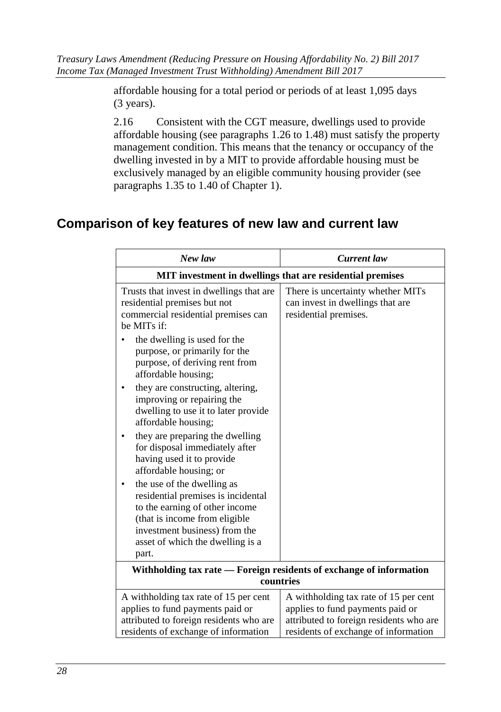affordable housing for a total period or periods of at least 1,095 days (3 years).

2.16 Consistent with the CGT measure, dwellings used to provide affordable housing (see paragraphs 1.26 to 1.48) must satisfy the property management condition. This means that the tenancy or occupancy of the dwelling invested in by a MIT to provide affordable housing must be exclusively managed by an eligible community housing provider (see paragraphs 1.35 to 1.40 of Chapter 1).

# **Comparison of key features of new law and current law**

| New law                                                                                                                                                                                                           | <b>Current</b> law                                                                                                                                           |  |  |
|-------------------------------------------------------------------------------------------------------------------------------------------------------------------------------------------------------------------|--------------------------------------------------------------------------------------------------------------------------------------------------------------|--|--|
| MIT investment in dwellings that are residential premises                                                                                                                                                         |                                                                                                                                                              |  |  |
| Trusts that invest in dwellings that are<br>residential premises but not<br>commercial residential premises can<br>be MITs if:                                                                                    | There is uncertainty whether MITs<br>can invest in dwellings that are<br>residential premises.                                                               |  |  |
| the dwelling is used for the<br>purpose, or primarily for the<br>purpose, of deriving rent from<br>affordable housing;                                                                                            |                                                                                                                                                              |  |  |
| they are constructing, altering,<br>improving or repairing the<br>dwelling to use it to later provide<br>affordable housing;                                                                                      |                                                                                                                                                              |  |  |
| they are preparing the dwelling<br>for disposal immediately after<br>having used it to provide<br>affordable housing; or                                                                                          |                                                                                                                                                              |  |  |
| the use of the dwelling as<br>residential premises is incidental<br>to the earning of other income<br>(that is income from eligible<br>investment business) from the<br>asset of which the dwelling is a<br>part. |                                                                                                                                                              |  |  |
| Withholding tax rate - Foreign residents of exchange of information<br>countries                                                                                                                                  |                                                                                                                                                              |  |  |
| A withholding tax rate of 15 per cent<br>applies to fund payments paid or<br>attributed to foreign residents who are<br>residents of exchange of information                                                      | A withholding tax rate of 15 per cent<br>applies to fund payments paid or<br>attributed to foreign residents who are<br>residents of exchange of information |  |  |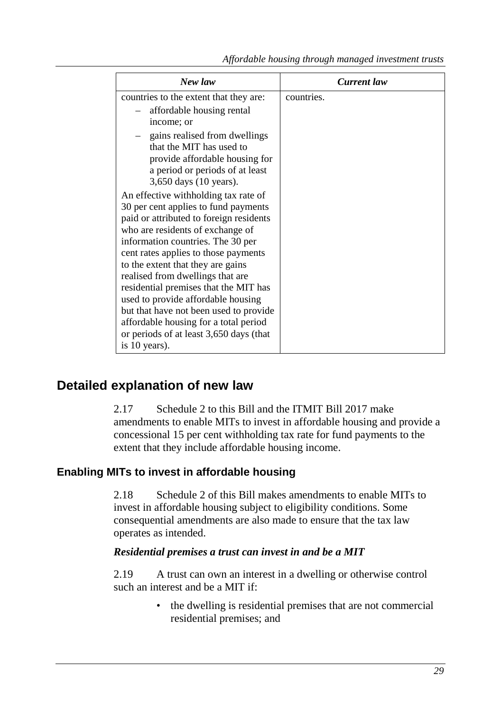| New law                                                                                                                                                                                                                                                                                                                                                                                                                                                                                                                                                            | <b>Current</b> law |
|--------------------------------------------------------------------------------------------------------------------------------------------------------------------------------------------------------------------------------------------------------------------------------------------------------------------------------------------------------------------------------------------------------------------------------------------------------------------------------------------------------------------------------------------------------------------|--------------------|
| countries to the extent that they are:<br>affordable housing rental<br>income; or<br>gains realised from dwellings<br>that the MIT has used to<br>provide affordable housing for<br>a period or periods of at least<br>3,650 days (10 years).<br>An effective withholding tax rate of<br>30 per cent applies to fund payments<br>paid or attributed to foreign residents<br>who are residents of exchange of<br>information countries. The 30 per<br>cent rates applies to those payments<br>to the extent that they are gains<br>realised from dwellings that are | countries.         |
| residential premises that the MIT has<br>used to provide affordable housing                                                                                                                                                                                                                                                                                                                                                                                                                                                                                        |                    |
| but that have not been used to provide<br>affordable housing for a total period                                                                                                                                                                                                                                                                                                                                                                                                                                                                                    |                    |
| or periods of at least 3,650 days (that<br>is 10 years).                                                                                                                                                                                                                                                                                                                                                                                                                                                                                                           |                    |

# **Detailed explanation of new law**

2.17 Schedule 2 to this Bill and the ITMIT Bill 2017 make amendments to enable MITs to invest in affordable housing and provide a concessional 15 per cent withholding tax rate for fund payments to the extent that they include affordable housing income.

# **Enabling MITs to invest in affordable housing**

2.18 Schedule 2 of this Bill makes amendments to enable MITs to invest in affordable housing subject to eligibility conditions. Some consequential amendments are also made to ensure that the tax law operates as intended.

# *Residential premises a trust can invest in and be a MIT*

2.19 A trust can own an interest in a dwelling or otherwise control such an interest and be a MIT if:

> • the dwelling is residential premises that are not commercial residential premises; and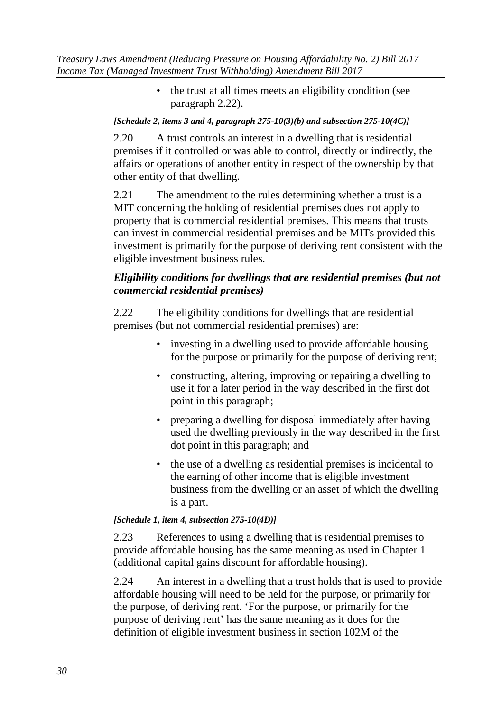• the trust at all times meets an eligibility condition (see paragraph 2.22).

### *[Schedule 2, items 3 and 4, paragraph 275-10(3)(b) and subsection 275-10(4C)]*

2.20 A trust controls an interest in a dwelling that is residential premises if it controlled or was able to control, directly or indirectly, the affairs or operations of another entity in respect of the ownership by that other entity of that dwelling.

2.21 The amendment to the rules determining whether a trust is a MIT concerning the holding of residential premises does not apply to property that is commercial residential premises. This means that trusts can invest in commercial residential premises and be MITs provided this investment is primarily for the purpose of deriving rent consistent with the eligible investment business rules.

# *Eligibility conditions for dwellings that are residential premises (but not commercial residential premises)*

2.22 The eligibility conditions for dwellings that are residential premises (but not commercial residential premises) are:

- investing in a dwelling used to provide affordable housing for the purpose or primarily for the purpose of deriving rent;
- constructing, altering, improving or repairing a dwelling to use it for a later period in the way described in the first dot point in this paragraph;
- preparing a dwelling for disposal immediately after having used the dwelling previously in the way described in the first dot point in this paragraph; and
- the use of a dwelling as residential premises is incidental to the earning of other income that is eligible investment business from the dwelling or an asset of which the dwelling is a part.

#### *[Schedule 1, item 4, subsection 275-10(4D)]*

2.23 References to using a dwelling that is residential premises to provide affordable housing has the same meaning as used in Chapter 1 (additional capital gains discount for affordable housing).

2.24 An interest in a dwelling that a trust holds that is used to provide affordable housing will need to be held for the purpose, or primarily for the purpose, of deriving rent. 'For the purpose, or primarily for the purpose of deriving rent' has the same meaning as it does for the definition of eligible investment business in section 102M of the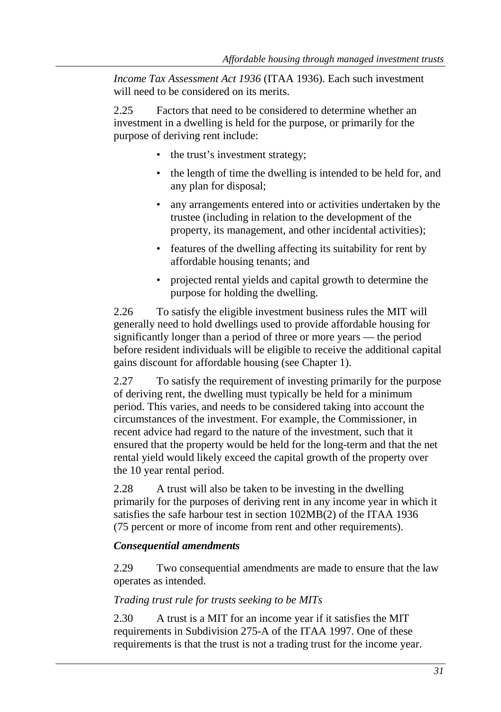*Income Tax Assessment Act 1936* (ITAA 1936). Each such investment will need to be considered on its merits.

2.25 Factors that need to be considered to determine whether an investment in a dwelling is held for the purpose, or primarily for the purpose of deriving rent include:

- the trust's investment strategy;
- the length of time the dwelling is intended to be held for, and any plan for disposal;
- any arrangements entered into or activities undertaken by the trustee (including in relation to the development of the property, its management, and other incidental activities);
- features of the dwelling affecting its suitability for rent by affordable housing tenants; and
- projected rental yields and capital growth to determine the purpose for holding the dwelling.

2.26 To satisfy the eligible investment business rules the MIT will generally need to hold dwellings used to provide affordable housing for significantly longer than a period of three or more years — the period before resident individuals will be eligible to receive the additional capital gains discount for affordable housing (see Chapter 1).

2.27 To satisfy the requirement of investing primarily for the purpose of deriving rent, the dwelling must typically be held for a minimum period. This varies, and needs to be considered taking into account the circumstances of the investment. For example, the Commissioner, in recent advice had regard to the nature of the investment, such that it ensured that the property would be held for the long-term and that the net rental yield would likely exceed the capital growth of the property over the 10 year rental period.

2.28 A trust will also be taken to be investing in the dwelling primarily for the purposes of deriving rent in any income year in which it satisfies the safe harbour test in section 102MB(2) of the ITAA 1936 (75 percent or more of income from rent and other requirements).

# *Consequential amendments*

2.29 Two consequential amendments are made to ensure that the law operates as intended.

*Trading trust rule for trusts seeking to be MITs* 

2.30 A trust is a MIT for an income year if it satisfies the MIT requirements in Subdivision 275-A of the ITAA 1997. One of these requirements is that the trust is not a trading trust for the income year.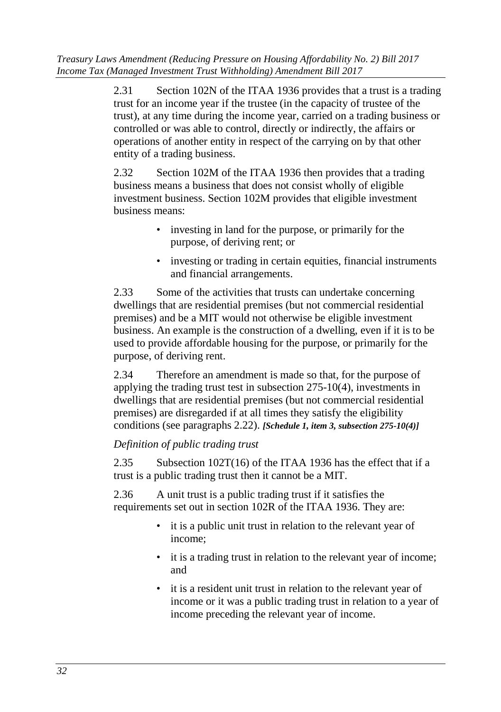*Treasury Laws Amendment (Reducing Pressure on Housing Affordability No. 2) Bill 2017 Income Tax (Managed Investment Trust Withholding) Amendment Bill 2017* 

> 2.31 Section 102N of the ITAA 1936 provides that a trust is a trading trust for an income year if the trustee (in the capacity of trustee of the trust), at any time during the income year, carried on a trading business or controlled or was able to control, directly or indirectly, the affairs or operations of another entity in respect of the carrying on by that other entity of a trading business.

2.32 Section 102M of the ITAA 1936 then provides that a trading business means a business that does not consist wholly of eligible investment business. Section 102M provides that eligible investment business means:

- investing in land for the purpose, or primarily for the purpose, of deriving rent; or
- investing or trading in certain equities, financial instruments and financial arrangements.

2.33 Some of the activities that trusts can undertake concerning dwellings that are residential premises (but not commercial residential premises) and be a MIT would not otherwise be eligible investment business. An example is the construction of a dwelling, even if it is to be used to provide affordable housing for the purpose, or primarily for the purpose, of deriving rent.

2.34 Therefore an amendment is made so that, for the purpose of applying the trading trust test in subsection 275-10(4), investments in dwellings that are residential premises (but not commercial residential premises) are disregarded if at all times they satisfy the eligibility conditions (see paragraphs 2.22). *[Schedule 1, item 3, subsection 275-10(4)]*

# *Definition of public trading trust*

2.35 Subsection 102T(16) of the ITAA 1936 has the effect that if a trust is a public trading trust then it cannot be a MIT.

2.36 A unit trust is a public trading trust if it satisfies the requirements set out in section 102R of the ITAA 1936. They are:

- it is a public unit trust in relation to the relevant year of income;
- it is a trading trust in relation to the relevant year of income; and
- it is a resident unit trust in relation to the relevant year of income or it was a public trading trust in relation to a year of income preceding the relevant year of income.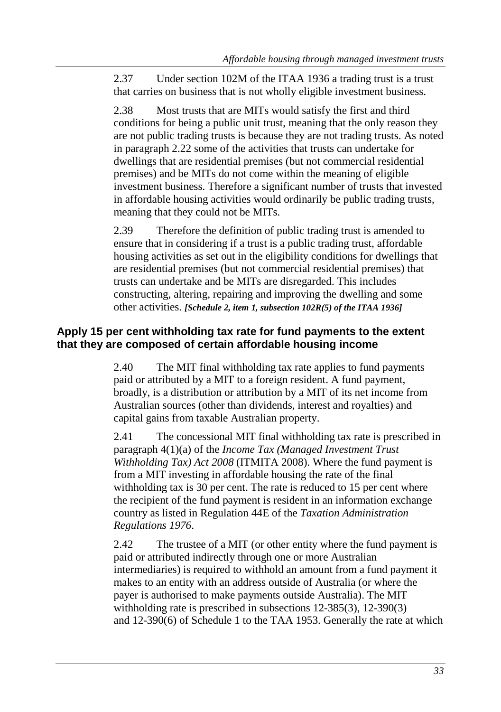2.37 Under section 102M of the ITAA 1936 a trading trust is a trust that carries on business that is not wholly eligible investment business.

2.38 Most trusts that are MITs would satisfy the first and third conditions for being a public unit trust, meaning that the only reason they are not public trading trusts is because they are not trading trusts. As noted in paragraph 2.22 some of the activities that trusts can undertake for dwellings that are residential premises (but not commercial residential premises) and be MITs do not come within the meaning of eligible investment business. Therefore a significant number of trusts that invested in affordable housing activities would ordinarily be public trading trusts, meaning that they could not be MITs.

2.39 Therefore the definition of public trading trust is amended to ensure that in considering if a trust is a public trading trust, affordable housing activities as set out in the eligibility conditions for dwellings that are residential premises (but not commercial residential premises) that trusts can undertake and be MITs are disregarded. This includes constructing, altering, repairing and improving the dwelling and some other activities. *[Schedule 2, item 1, subsection 102R(5) of the ITAA 1936]*

# **Apply 15 per cent withholding tax rate for fund payments to the extent that they are composed of certain affordable housing income**

2.40 The MIT final withholding tax rate applies to fund payments paid or attributed by a MIT to a foreign resident. A fund payment, broadly, is a distribution or attribution by a MIT of its net income from Australian sources (other than dividends, interest and royalties) and capital gains from taxable Australian property.

2.41 The concessional MIT final withholding tax rate is prescribed in paragraph 4(1)(a) of the *Income Tax (Managed Investment Trust Withholding Tax) Act 2008* (ITMITA 2008). Where the fund payment is from a MIT investing in affordable housing the rate of the final withholding tax is 30 per cent. The rate is reduced to 15 per cent where the recipient of the fund payment is resident in an information exchange country as listed in Regulation 44E of the *Taxation Administration Regulations 1976*.

2.42 The trustee of a MIT (or other entity where the fund payment is paid or attributed indirectly through one or more Australian intermediaries) is required to withhold an amount from a fund payment it makes to an entity with an address outside of Australia (or where the payer is authorised to make payments outside Australia). The MIT withholding rate is prescribed in subsections 12-385(3), 12-390(3) and 12-390(6) of Schedule 1 to the TAA 1953. Generally the rate at which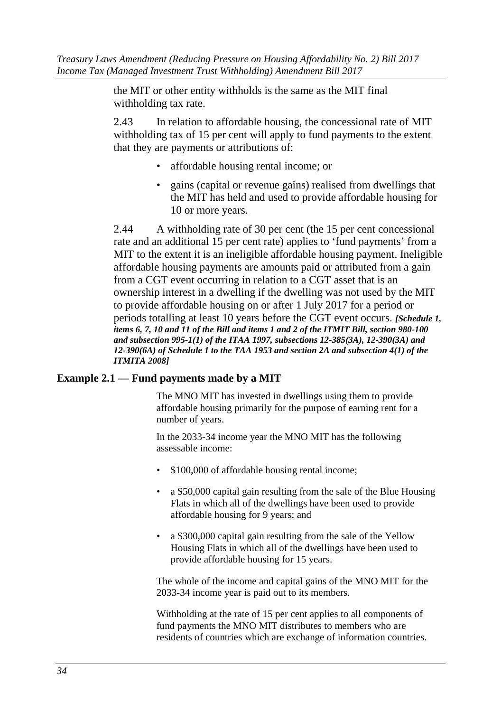the MIT or other entity withholds is the same as the MIT final withholding tax rate.

2.43 In relation to affordable housing, the concessional rate of MIT withholding tax of 15 per cent will apply to fund payments to the extent that they are payments or attributions of:

- affordable housing rental income; or
- gains (capital or revenue gains) realised from dwellings that the MIT has held and used to provide affordable housing for 10 or more years.

2.44 A withholding rate of 30 per cent (the 15 per cent concessional rate and an additional 15 per cent rate) applies to 'fund payments' from a MIT to the extent it is an ineligible affordable housing payment. Ineligible affordable housing payments are amounts paid or attributed from a gain from a CGT event occurring in relation to a CGT asset that is an ownership interest in a dwelling if the dwelling was not used by the MIT to provide affordable housing on or after 1 July 2017 for a period or periods totalling at least 10 years before the CGT event occurs. *[Schedule 1, items 6, 7, 10 and 11 of the Bill and items 1 and 2 of the ITMIT Bill, section 980-100 and subsection 995-1(1) of the ITAA 1997, subsections 12-385(3A), 12-390(3A) and 12-390(6A) of Schedule 1 to the TAA 1953 and section 2A and subsection 4(1) of the ITMITA 2008]*

# **Example 2.1 — Fund payments made by a MIT**

The MNO MIT has invested in dwellings using them to provide affordable housing primarily for the purpose of earning rent for a number of years.

In the 2033-34 income year the MNO MIT has the following assessable income:

- \$100,000 of affordable housing rental income;
- a \$50,000 capital gain resulting from the sale of the Blue Housing Flats in which all of the dwellings have been used to provide affordable housing for 9 years; and
- a \$300,000 capital gain resulting from the sale of the Yellow Housing Flats in which all of the dwellings have been used to provide affordable housing for 15 years.

The whole of the income and capital gains of the MNO MIT for the 2033-34 income year is paid out to its members.

Withholding at the rate of 15 per cent applies to all components of fund payments the MNO MIT distributes to members who are residents of countries which are exchange of information countries.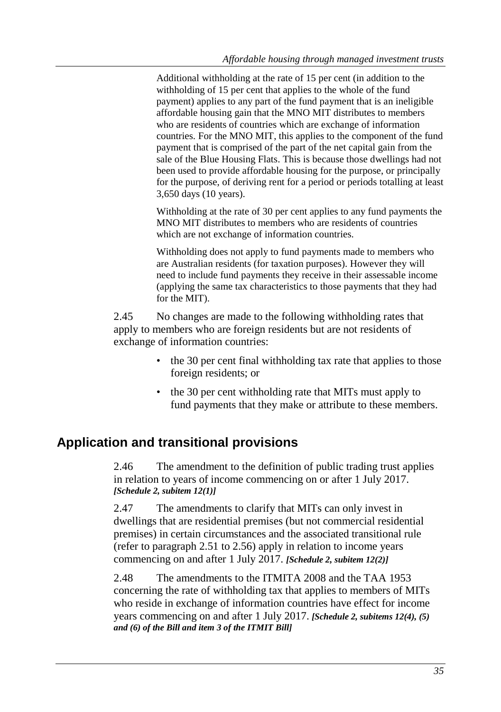Additional withholding at the rate of 15 per cent (in addition to the withholding of 15 per cent that applies to the whole of the fund payment) applies to any part of the fund payment that is an ineligible affordable housing gain that the MNO MIT distributes to members who are residents of countries which are exchange of information countries. For the MNO MIT, this applies to the component of the fund payment that is comprised of the part of the net capital gain from the sale of the Blue Housing Flats. This is because those dwellings had not been used to provide affordable housing for the purpose, or principally for the purpose, of deriving rent for a period or periods totalling at least 3,650 days (10 years).

Withholding at the rate of 30 per cent applies to any fund payments the MNO MIT distributes to members who are residents of countries which are not exchange of information countries.

Withholding does not apply to fund payments made to members who are Australian residents (for taxation purposes). However they will need to include fund payments they receive in their assessable income (applying the same tax characteristics to those payments that they had for the MIT).

2.45 No changes are made to the following withholding rates that apply to members who are foreign residents but are not residents of exchange of information countries:

- the 30 per cent final withholding tax rate that applies to those foreign residents; or
- the 30 per cent withholding rate that MITs must apply to fund payments that they make or attribute to these members.

# **Application and transitional provisions**

2.46 The amendment to the definition of public trading trust applies in relation to years of income commencing on or after 1 July 2017. *[Schedule 2, subitem 12(1)]*

2.47 The amendments to clarify that MITs can only invest in dwellings that are residential premises (but not commercial residential premises) in certain circumstances and the associated transitional rule (refer to paragraph 2.51 to 2.56) apply in relation to income years commencing on and after 1 July 2017. *[Schedule 2, subitem 12(2)]*

2.48 The amendments to the ITMITA 2008 and the TAA 1953 concerning the rate of withholding tax that applies to members of MITs who reside in exchange of information countries have effect for income years commencing on and after 1 July 2017. *[Schedule 2, subitems 12(4), (5) and (6) of the Bill and item 3 of the ITMIT Bill]*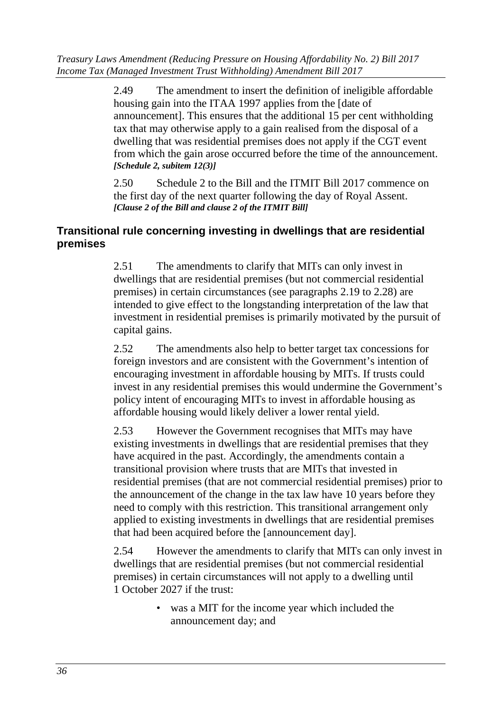*Treasury Laws Amendment (Reducing Pressure on Housing Affordability No. 2) Bill 2017 Income Tax (Managed Investment Trust Withholding) Amendment Bill 2017* 

> 2.49 The amendment to insert the definition of ineligible affordable housing gain into the ITAA 1997 applies from the [date of announcement]. This ensures that the additional 15 per cent withholding tax that may otherwise apply to a gain realised from the disposal of a dwelling that was residential premises does not apply if the CGT event from which the gain arose occurred before the time of the announcement. *[Schedule 2, subitem 12(3)]*

2.50 Schedule 2 to the Bill and the ITMIT Bill 2017 commence on the first day of the next quarter following the day of Royal Assent. *[Clause 2 of the Bill and clause 2 of the ITMIT Bill]*

# **Transitional rule concerning investing in dwellings that are residential premises**

2.51 The amendments to clarify that MITs can only invest in dwellings that are residential premises (but not commercial residential premises) in certain circumstances (see paragraphs 2.19 to 2.28) are intended to give effect to the longstanding interpretation of the law that investment in residential premises is primarily motivated by the pursuit of capital gains.

2.52 The amendments also help to better target tax concessions for foreign investors and are consistent with the Government's intention of encouraging investment in affordable housing by MITs. If trusts could invest in any residential premises this would undermine the Government's policy intent of encouraging MITs to invest in affordable housing as affordable housing would likely deliver a lower rental yield.

2.53 However the Government recognises that MITs may have existing investments in dwellings that are residential premises that they have acquired in the past. Accordingly, the amendments contain a transitional provision where trusts that are MITs that invested in residential premises (that are not commercial residential premises) prior to the announcement of the change in the tax law have 10 years before they need to comply with this restriction. This transitional arrangement only applied to existing investments in dwellings that are residential premises that had been acquired before the [announcement day].

2.54 However the amendments to clarify that MITs can only invest in dwellings that are residential premises (but not commercial residential premises) in certain circumstances will not apply to a dwelling until 1 October 2027 if the trust:

> • was a MIT for the income year which included the announcement day; and